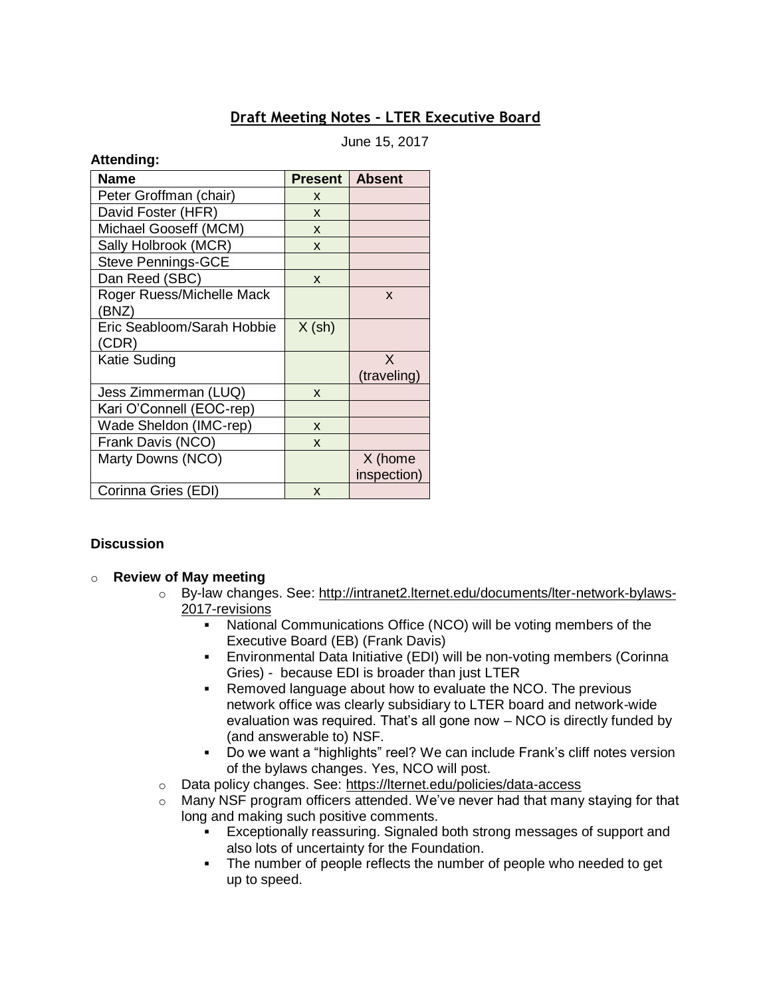# **Draft Meeting Notes - LTER Executive Board**

June 15, 2017

#### **Attending:**

| <b>Name</b>                | <b>Present</b> | <b>Absent</b> |
|----------------------------|----------------|---------------|
| Peter Groffman (chair)     | X              |               |
| David Foster (HFR)         | X              |               |
| Michael Gooseff (MCM)      | X              |               |
| Sally Holbrook (MCR)       | X              |               |
| <b>Steve Pennings-GCE</b>  |                |               |
| Dan Reed (SBC)             | X              |               |
| Roger Ruess/Michelle Mack  |                | X             |
| (BNZ)                      |                |               |
| Eric Seabloom/Sarah Hobbie | $X$ (sh)       |               |
| (CDR)                      |                |               |
| Katie Suding               |                | X             |
|                            |                | (traveling)   |
| Jess Zimmerman (LUQ)       | X              |               |
| Kari O'Connell (EOC-rep)   |                |               |
| Wade Sheldon (IMC-rep)     | X              |               |
| Frank Davis (NCO)          | X              |               |
| Marty Downs (NCO)          |                | X (home       |
|                            |                | inspection)   |
| Corinna Gries (EDI)        | X              |               |

### **Discussion**

### o **Review of May meeting**

- o By-law changes. See: [http://intranet2.lternet.edu/documents/lter-network-bylaws-](http://intranet2.lternet.edu/documents/lter-network-bylaws-2017-revisions)[2017-revisions](http://intranet2.lternet.edu/documents/lter-network-bylaws-2017-revisions)
	- National Communications Office (NCO) will be voting members of the Executive Board (EB) (Frank Davis)
	- **Environmental Data Initiative (EDI) will be non-voting members (Corinna** Gries) - because EDI is broader than just LTER
	- Removed language about how to evaluate the NCO. The previous network office was clearly subsidiary to LTER board and network-wide evaluation was required. That's all gone now – NCO is directly funded by (and answerable to) NSF.
	- Do we want a "highlights" reel? We can include Frank's cliff notes version of the bylaws changes. Yes, NCO will post.
- o Data policy changes. See: <https://lternet.edu/policies/data-access>
- $\circ$  Many NSF program officers attended. We've never had that many staying for that long and making such positive comments.
	- Exceptionally reassuring. Signaled both strong messages of support and also lots of uncertainty for the Foundation.
	- The number of people reflects the number of people who needed to get up to speed.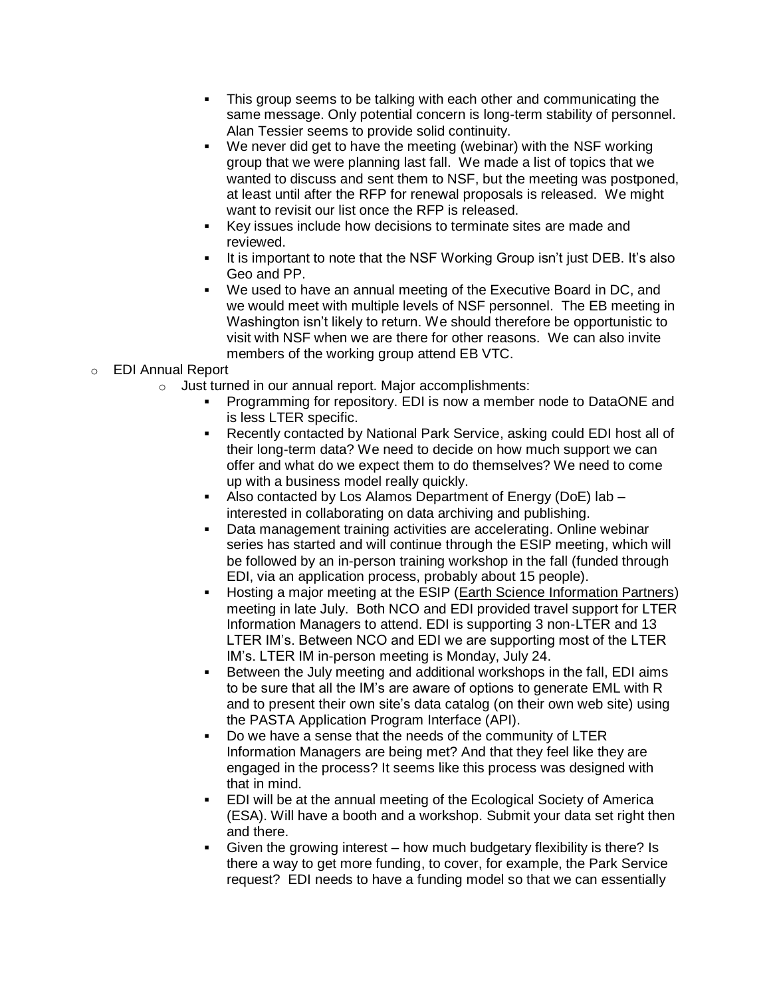- This group seems to be talking with each other and communicating the same message. Only potential concern is long-term stability of personnel. Alan Tessier seems to provide solid continuity.
- We never did get to have the meeting (webinar) with the NSF working group that we were planning last fall. We made a list of topics that we wanted to discuss and sent them to NSF, but the meeting was postponed, at least until after the RFP for renewal proposals is released. We might want to revisit our list once the RFP is released.
- Key issues include how decisions to terminate sites are made and reviewed.
- It is important to note that the NSF Working Group isn't just DEB. It's also Geo and PP.
- We used to have an annual meeting of the Executive Board in DC, and we would meet with multiple levels of NSF personnel. The EB meeting in Washington isn't likely to return. We should therefore be opportunistic to visit with NSF when we are there for other reasons. We can also invite members of the working group attend EB VTC.

## o EDI Annual Report

- o Just turned in our annual report. Major accomplishments:
	- Programming for repository. EDI is now a member node to DataONE and is less LTER specific.
	- Recently contacted by National Park Service, asking could EDI host all of their long-term data? We need to decide on how much support we can offer and what do we expect them to do themselves? We need to come up with a business model really quickly.
	- Also contacted by Los Alamos Department of Energy (DoE) lab interested in collaborating on data archiving and publishing.
	- Data management training activities are accelerating. Online webinar series has started and will continue through the ESIP meeting, which will be followed by an in-person training workshop in the fall (funded through EDI, via an application process, probably about 15 people).
	- Hosting a major meeting at the ESIP [\(Earth Science Information Partners\)](http://www.esipfed.org/meetings/upcoming-meetings/esip-summer-meeting-2017) meeting in late July. Both NCO and EDI provided travel support for LTER Information Managers to attend. EDI is supporting 3 non-LTER and 13 LTER IM's. Between NCO and EDI we are supporting most of the LTER IM's. LTER IM in-person meeting is Monday, July 24.
	- Between the July meeting and additional workshops in the fall, EDI aims to be sure that all the IM's are aware of options to generate EML with R and to present their own site's data catalog (on their own web site) using the PASTA Application Program Interface (API).
	- Do we have a sense that the needs of the community of LTER Information Managers are being met? And that they feel like they are engaged in the process? It seems like this process was designed with that in mind.
	- EDI will be at the annual meeting of the Ecological Society of America (ESA). Will have a booth and a workshop. Submit your data set right then and there.
	- Given the growing interest  $-$  how much budgetary flexibility is there? Is there a way to get more funding, to cover, for example, the Park Service request? EDI needs to have a funding model so that we can essentially